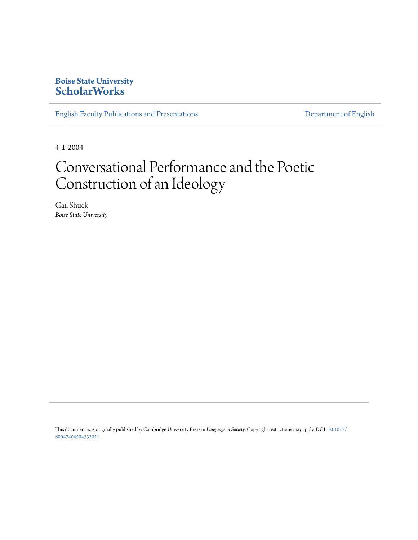## **Boise State University [ScholarWorks](https://scholarworks.boisestate.edu)**

[English Faculty Publications and Presentations](https://scholarworks.boisestate.edu/english_facpubs) **[Department of English](https://scholarworks.boisestate.edu/english)** 

4-1-2004

# Conversational Performance and the Poetic Construction of an Ideology

Gail Shuck *Boise State University*

This document was originally published by Cambridge University Press in *Language in Society*. Copyright restrictions may apply. DOI: [10.1017/](http://dx.doi.org/10.1017/S0047404504332021) [S0047404504332021](http://dx.doi.org/10.1017/S0047404504332021)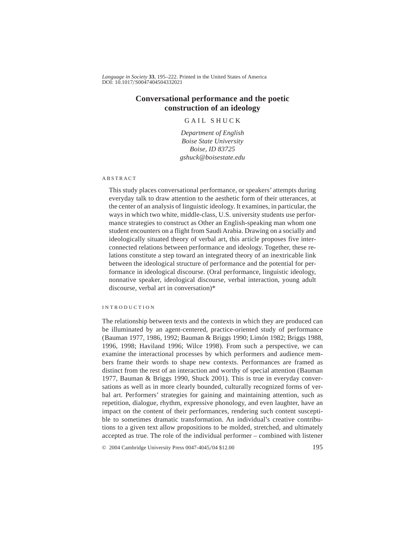## **Conversational performance and the poetic construction of an ideology**

## GAIL SHUCK

*Department of English Boise State University Boise, ID 83725 gshuck@boisestate.edu*

#### ABSTRACT

This study places conversational performance, or speakers' attempts during everyday talk to draw attention to the aesthetic form of their utterances, at the center of an analysis of linguistic ideology. It examines, in particular, the ways in which two white, middle-class, U.S. university students use performance strategies to construct as Other an English-speaking man whom one student encounters on a flight from Saudi Arabia. Drawing on a socially and ideologically situated theory of verbal art, this article proposes five interconnected relations between performance and ideology. Together, these relations constitute a step toward an integrated theory of an inextricable link between the ideological structure of performance and the potential for performance in ideological discourse. (Oral performance, linguistic ideology, nonnative speaker, ideological discourse, verbal interaction, young adult discourse, verbal art in conversation)\*

#### INTRODUCTION

The relationship between texts and the contexts in which they are produced can be illuminated by an agent-centered, practice-oriented study of performance (Bauman 1977, 1986, 1992; Bauman & Briggs 1990; Limón 1982; Briggs 1988, 1996, 1998; Haviland 1996; Wilce 1998). From such a perspective, we can examine the interactional processes by which performers and audience members frame their words to shape new contexts. Performances are framed as distinct from the rest of an interaction and worthy of special attention (Bauman 1977, Bauman & Briggs 1990, Shuck 2001). This is true in everyday conversations as well as in more clearly bounded, culturally recognized forms of verbal art. Performers' strategies for gaining and maintaining attention, such as repetition, dialogue, rhythm, expressive phonology, and even laughter, have an impact on the content of their performances, rendering such content susceptible to sometimes dramatic transformation. An individual's creative contributions to a given text allow propositions to be molded, stretched, and ultimately accepted as true. The role of the individual performer – combined with listener

© 2004 Cambridge University Press 0047-4045004 \$12.00 195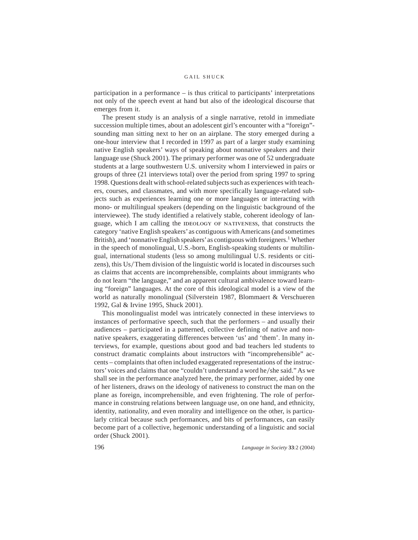participation in a performance – is thus critical to participants' interpretations not only of the speech event at hand but also of the ideological discourse that emerges from it.

The present study is an analysis of a single narrative, retold in immediate succession multiple times, about an adolescent girl's encounter with a "foreign" sounding man sitting next to her on an airplane. The story emerged during a one-hour interview that I recorded in 1997 as part of a larger study examining native English speakers' ways of speaking about nonnative speakers and their language use (Shuck 2001). The primary performer was one of 52 undergraduate students at a large southwestern U.S. university whom I interviewed in pairs or groups of three (21 interviews total) over the period from spring 1997 to spring 1998. Questions dealt with school-related subjects such as experiences with teachers, courses, and classmates, and with more specifically language-related subjects such as experiences learning one or more languages or interacting with mono- or multilingual speakers (depending on the linguistic background of the interviewee). The study identified a relatively stable, coherent ideology of language, which I am calling the IDEOLOGY OF NATIVENESS, that constructs the category 'native English speakers'as contiguous withAmericans (and sometimes British), and 'nonnative English speakers' as contiguous with foreigners.<sup>1</sup> Whether in the speech of monolingual, U.S.-born, English-speaking students or multilingual, international students (less so among multilingual U.S. residents or citizens), this Us/Them division of the linguistic world is located in discourses such as claims that accents are incomprehensible, complaints about immigrants who do not learn "the language," and an apparent cultural ambivalence toward learning "foreign" languages. At the core of this ideological model is a view of the world as naturally monolingual (Silverstein 1987, Blommaert & Verschueren 1992, Gal & Irvine 1995, Shuck 2001).

This monolingualist model was intricately connected in these interviews to instances of performative speech, such that the performers – and usually their audiences – participated in a patterned, collective defining of native and nonnative speakers, exaggerating differences between 'us' and 'them'. In many interviews, for example, questions about good and bad teachers led students to construct dramatic complaints about instructors with "incomprehensible" accents – complaints that often included exaggerated representations of the instructors' voices and claims that one "couldn't understand a word he/she said." As we shall see in the performance analyzed here, the primary performer, aided by one of her listeners, draws on the ideology of nativeness to construct the man on the plane as foreign, incomprehensible, and even frightening. The role of performance in construing relations between language use, on one hand, and ethnicity, identity, nationality, and even morality and intelligence on the other, is particularly critical because such performances, and bits of performances, can easily become part of a collective, hegemonic understanding of a linguistic and social order (Shuck 2001).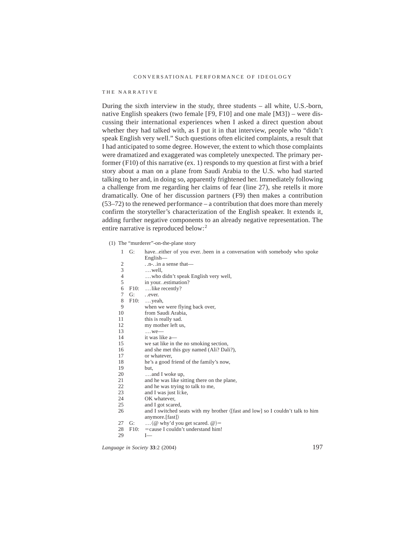#### THE NARRATIVE

During the sixth interview in the study, three students – all white, U.S.-born, native English speakers (two female [F9, F10] and one male [M3]) – were discussing their international experiences when I asked a direct question about whether they had talked with, as I put it in that interview, people who "didn't speak English very well." Such questions often elicited complaints, a result that I had anticipated to some degree. However, the extent to which those complaints were dramatized and exaggerated was completely unexpected. The primary performer (F10) of this narrative (ex. 1) responds to my question at first with a brief story about a man on a plane from Saudi Arabia to the U.S. who had started talking to her and, in doing so, apparently frightened her. Immediately following a challenge from me regarding her claims of fear (line 27), she retells it more dramatically. One of her discussion partners (F9) then makes a contribution (53–72) to the renewed performance – a contribution that does more than merely confirm the storyteller's characterization of the English speaker. It extends it, adding further negative components to an already negative representation. The entire narrative is reproduced below:<sup>2</sup>

(1) The "murderer"-on-the-plane story

| 1              | G:   | have either of you ever been in a conversation with somebody who spoke<br>English- |
|----------------|------|------------------------------------------------------------------------------------|
| 2              |      | $\ldots$ n- $\ldots$ in a sense that—                                              |
| 3              |      | $\dots$ well.                                                                      |
| $\overline{4}$ |      | who didn't speak English very well,                                                |
| 5              |      | in your. .estimation?                                                              |
| 6              | F10: | like recently?                                                                     |
| 7              | G:   | . .ever.                                                                           |
| 8              | F10: | $\dots$ yeah,                                                                      |
| 9              |      | when we were flying back over,                                                     |
| 10             |      | from Saudi Arabia,                                                                 |
| 11             |      | this is really sad.                                                                |
| 12             |      | my mother left us,                                                                 |
| 13             |      | $\dots$ we —                                                                       |
| 14             |      | it was like a-                                                                     |
| 15             |      | we sat like in the no smoking section,                                             |
| 16             |      | and she met this guy named (Ali? Dali?),                                           |
| 17             |      | or whatever,                                                                       |
| 18             |      | he's a good friend of the family's now,                                            |
| 19             |      | but,                                                                               |
| 20             |      | and I woke up,                                                                     |
| 21             |      | and he was like sitting there on the plane,                                        |
| 22             |      | and he was trying to talk to me,                                                   |
| 23             |      | and I was just li:ke,                                                              |
| 24             |      | OK whatever,                                                                       |
| 25             |      | and I got scared,                                                                  |
| 26             |      | and I switched seats with my brother ([fast and low] so I couldn't talk to him     |
|                |      | anymore. $[\text{fast}]$                                                           |
| 27             | G:   | $\langle \omega$ why'd you get scared. $\omega$ =                                  |
| 28             | F10: | $=$ cause I couldn't understand him!                                               |
| 29             |      | $I-$                                                                               |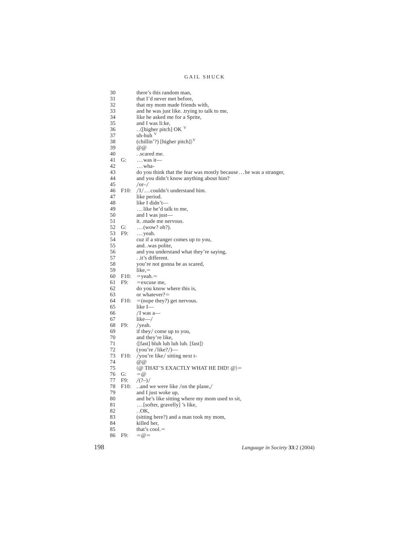| 30       |                   | there's this random man,                                         |
|----------|-------------------|------------------------------------------------------------------|
| 31       |                   | that I'd never met before,                                       |
| 32       |                   | that my mom made friends with,                                   |
| 33       |                   | and he was just like. trying to talk to me,                      |
| 34       |                   | like he asked me for a Sprite,                                   |
| 35       |                   | and I was li: ke,                                                |
| 36       |                   | $\ldots$ ([higher pitch] OK $V$                                  |
| 37       |                   | $uh-huh$ $V$                                                     |
| 38       |                   | (chillin'?) [higher pitch] $\rangle^{\vee}$                      |
| 39       |                   | @@                                                               |
| 40       |                   | . scared me.                                                     |
| 41       | G:                | $\dots$ was it—                                                  |
| 42       |                   | $\dots$ wha-                                                     |
| 43       |                   | do you think that the fear was mostly because he was a stranger, |
| 44       |                   | and you didn't know anything about him?                          |
| 45       |                   | $\overline{\overline{\overline{\overline{C}}}}$                  |
| 46       | F <sub>10</sub> : | $/I/\dots$ couldn't understand him.                              |
| 47       |                   | like period.                                                     |
| 48       |                   | like I didn't-                                                   |
| 49       |                   | like he'd talk to me,                                            |
| 50       |                   | and I was just—                                                  |
| 51       |                   | it. made me nervous.                                             |
| 52       | G:                | $\ldots$ (wow? oh?).                                             |
| 53       | F9:               | $\ldots$ yeah.                                                   |
| 54       |                   | cuz if a stranger comes up to you,                               |
| 55       |                   | and. .was polite,                                                |
| 56       |                   | and you understand what they're saying,                          |
| 57       |                   | it's different.                                                  |
| 58       |                   |                                                                  |
|          |                   | you're not gonna be as scared,                                   |
| 59<br>60 | F10:              | $like =$                                                         |
| 61       | F9:               | $=$ yeah. $=$                                                    |
| 62       |                   | =excuse me,<br>do you know where this is,                        |
| 63       |                   |                                                                  |
| 64       |                   | or whatever? $=$                                                 |
|          | F <sub>10</sub> : | $=$ (nope they?) get nervous.<br>like I-                         |
| 65       |                   |                                                                  |
| 66       |                   |                                                                  |
| 67<br>68 |                   | /I was a-                                                        |
|          |                   | $like-$                                                          |
|          | F9:               | /yeah.                                                           |
| 69       |                   | if they/ come up to you,                                         |
| 70       |                   | and they're like,                                                |
| 71       |                   | $\langle$ [fast] bluh luh luh luh. [fast] $\rangle$              |
| 72       |                   | $(you're / like?)/$ —                                            |
| 73       | F10:              | /you're like/ sitting next t-                                    |
| 74       |                   | $\omega$ $\omega$                                                |
| 75       |                   | $\langle$ @ THAT'S EXACTLY WHAT HE DID! @ $\rangle =$            |
| 76       | G:                | $= \omega$                                                       |
| 77       | F9:               | $/(?-)$ /                                                        |
| 78       | F10:              | and we were like /on the plane,/                                 |
| 79       |                   | and I just woke up,                                              |
| 80       |                   | and he's like sitting where my mom used to sit,                  |
| 81       |                   | [softer, gravelly] 's like,                                      |
| 82       |                   | . .OK,                                                           |
| 83       |                   | (sitting here?) and a man took my mom,                           |
| 84       |                   | killed her,                                                      |
| 85<br>86 | F9:               | that's $\text{cool} =$<br>$= \omega =$                           |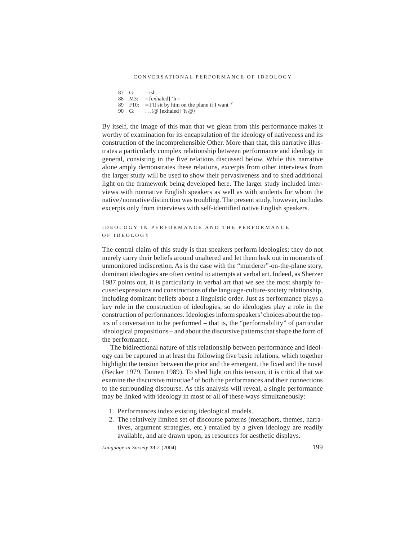```
87 G: =tsh.=88 M3: =[\text{exhaled}] 'h=<br>89 F10: =I'll sit by him on the plane if I want <sup>V</sup>
90 G: \ldots \langle \emptyset [exhaled] 'h \emptyset \rangle
```
By itself, the image of this man that we glean from this performance makes it worthy of examination for its encapsulation of the ideology of nativeness and its construction of the incomprehensible Other. More than that, this narrative illustrates a particularly complex relationship between performance and ideology in general, consisting in the five relations discussed below. While this narrative alone amply demonstrates these relations, excerpts from other interviews from the larger study will be used to show their pervasiveness and to shed additional light on the framework being developed here. The larger study included interviews with nonnative English speakers as well as with students for whom the native/nonnative distinction was troubling. The present study, however, includes excerpts only from interviews with self-identified native English speakers.

```
IDEOLOGY IN PERFORMANCE AND THE PERFORMANCE
OF IDEOLOGY
```
The central claim of this study is that speakers perform ideologies; they do not merely carry their beliefs around unaltered and let them leak out in moments of unmonitored indiscretion. As is the case with the "murderer"-on-the-plane story, dominant ideologies are often central to attempts at verbal art. Indeed, as Sherzer 1987 points out, it is particularly in verbal art that we see the most sharply focused expressions and constructions of the language-culture-society relationship, including dominant beliefs about a linguistic order. Just as performance plays a key role in the construction of ideologies, so do ideologies play a role in the construction of performances. Ideologies inform speakers'choices about the topics of conversation to be performed – that is, the "performability" of particular ideological propositions – and about the discursive patterns that shape the form of the performance.

The bidirectional nature of this relationship between performance and ideology can be captured in at least the following five basic relations, which together highlight the tension between the prior and the emergent, the fixed and the novel (Becker 1979, Tannen 1989). To shed light on this tension, it is critical that we examine the discursive minutiae<sup>3</sup> of both the performances and their connections to the surrounding discourse. As this analysis will reveal, a single performance may be linked with ideology in most or all of these ways simultaneously:

- 1. Performances index existing ideological models.
- 2. The relatively limited set of discourse patterns (metaphors, themes, narratives, argument strategies, etc.) entailed by a given ideology are readily available, and are drawn upon, as resources for aesthetic displays.

*Language in Society* **33**:2 (2004) 199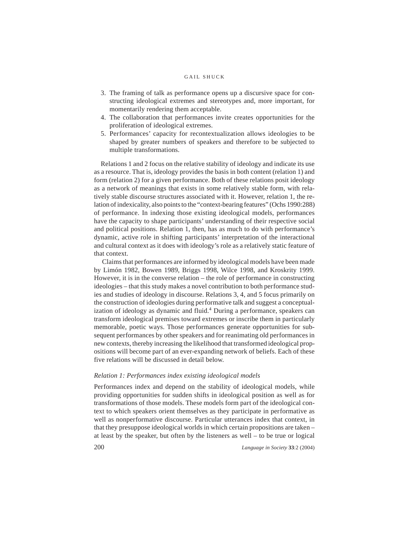- 3. The framing of talk as performance opens up a discursive space for constructing ideological extremes and stereotypes and, more important, for momentarily rendering them acceptable.
- 4. The collaboration that performances invite creates opportunities for the proliferation of ideological extremes.
- 5. Performances' capacity for recontextualization allows ideologies to be shaped by greater numbers of speakers and therefore to be subjected to multiple transformations.

Relations 1 and 2 focus on the relative stability of ideology and indicate its use as a resource. That is, ideology provides the basis in both content (relation 1) and form (relation 2) for a given performance. Both of these relations posit ideology as a network of meanings that exists in some relatively stable form, with relatively stable discourse structures associated with it. However, relation 1, the relation of indexicality, also points to the "context-bearing features" (Ochs 1990:288) of performance. In indexing those existing ideological models, performances have the capacity to shape participants' understanding of their respective social and political positions. Relation 1, then, has as much to do with performance's dynamic, active role in shifting participants' interpretation of the interactional and cultural context as it does with ideology's role as a relatively static feature of that context.

Claims that performances are informed by ideological models have been made by Limón 1982, Bowen 1989, Briggs 1998, Wilce 1998, and Kroskrity 1999. However, it is in the converse relation – the role of performance in constructing ideologies – that this study makes a novel contribution to both performance studies and studies of ideology in discourse. Relations 3, 4, and 5 focus primarily on the construction of ideologies during performative talk and suggest a conceptualization of ideology as dynamic and fluid.<sup>4</sup> During a performance, speakers can transform ideological premises toward extremes or inscribe them in particularly memorable, poetic ways. Those performances generate opportunities for subsequent performances by other speakers and for reanimating old performances in new contexts, thereby increasing the likelihood that transformed ideological propositions will become part of an ever-expanding network of beliefs. Each of these five relations will be discussed in detail below.

### *Relation 1: Performances index existing ideological models*

Performances index and depend on the stability of ideological models, while providing opportunities for sudden shifts in ideological position as well as for transformations of those models. These models form part of the ideological context to which speakers orient themselves as they participate in performative as well as nonperformative discourse. Particular utterances index that context, in that they presuppose ideological worlds in which certain propositions are taken – at least by the speaker, but often by the listeners as well – to be true or logical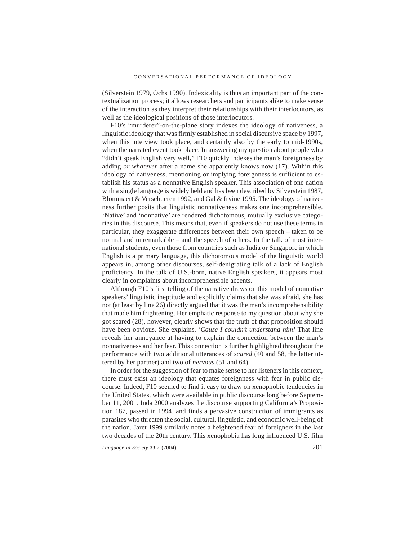(Silverstein 1979, Ochs 1990). Indexicality is thus an important part of the contextualization process; it allows researchers and participants alike to make sense of the interaction as they interpret their relationships with their interlocutors, as well as the ideological positions of those interlocutors.

F10's "murderer"-on-the-plane story indexes the ideology of nativeness, a linguistic ideology that was firmly established in social discursive space by 1997, when this interview took place, and certainly also by the early to mid-1990s, when the narrated event took place. In answering my question about people who "didn't speak English very well," F10 quickly indexes the man's foreignness by adding *or whatever* after a name she apparently knows now (17). Within this ideology of nativeness, mentioning or implying foreignness is sufficient to establish his status as a nonnative English speaker. This association of one nation with a single language is widely held and has been described by Silverstein 1987, Blommaert & Verschueren 1992, and Gal & Irvine 1995. The ideology of nativeness further posits that linguistic nonnativeness makes one incomprehensible. 'Native' and 'nonnative' are rendered dichotomous, mutually exclusive categories in this discourse. This means that, even if speakers do not use these terms in particular, they exaggerate differences between their own speech – taken to be normal and unremarkable – and the speech of others. In the talk of most international students, even those from countries such as India or Singapore in which English is a primary language, this dichotomous model of the linguistic world appears in, among other discourses, self-denigrating talk of a lack of English proficiency. In the talk of U.S.-born, native English speakers, it appears most clearly in complaints about incomprehensible accents.

Although F10's first telling of the narrative draws on this model of nonnative speakers' linguistic ineptitude and explicitly claims that she was afraid, she has not (at least by line 26) directly argued that it was the man's incomprehensibility that made him frightening. Her emphatic response to my question about why she got scared (28), however, clearly shows that the truth of that proposition should have been obvious. She explains, *'Cause I couldn't understand him!* That line reveals her annoyance at having to explain the connection between the man's nonnativeness and her fear. This connection is further highlighted throughout the performance with two additional utterances of *scared* (40 and 58, the latter uttered by her partner) and two of *nervous* (51 and 64).

In order for the suggestion of fear to make sense to her listeners in this context, there must exist an ideology that equates foreignness with fear in public discourse. Indeed, F10 seemed to find it easy to draw on xenophobic tendencies in the United States, which were available in public discourse long before September 11, 2001. Inda 2000 analyzes the discourse supporting California's Proposition 187, passed in 1994, and finds a pervasive construction of immigrants as parasites who threaten the social, cultural, linguistic, and economic well-being of the nation. Jaret 1999 similarly notes a heightened fear of foreigners in the last two decades of the 20th century. This xenophobia has long influenced U.S. film

*Language in Society* **33**:2 (2004) 201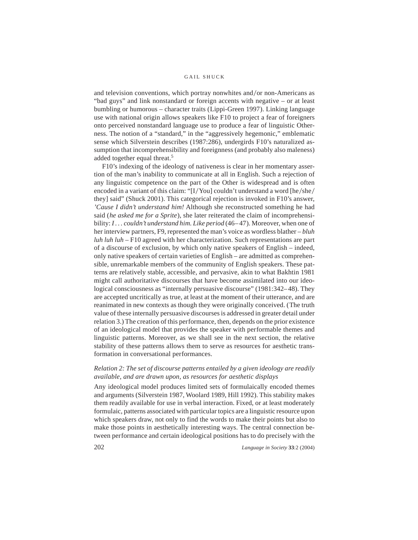and television conventions, which portray nonwhites and/or non-Americans as "bad guys" and link nonstandard or foreign accents with negative – or at least bumbling or humorous – character traits (Lippi-Green 1997). Linking language use with national origin allows speakers like F10 to project a fear of foreigners onto perceived nonstandard language use to produce a fear of linguistic Otherness. The notion of a "standard," in the "aggressively hegemonic," emblematic sense which Silverstein describes (1987:286), undergirds F10's naturalized assumption that incomprehensibility and foreignness (and probably also maleness) added together equal threat.<sup>5</sup>

F10's indexing of the ideology of nativeness is clear in her momentary assertion of the man's inability to communicate at all in English. Such a rejection of any linguistic competence on the part of the Other is widespread and is often encoded in a variant of this claim: " $[I/You]$  couldn't understand a word [he/she/ they] said" (Shuck 2001). This categorical rejection is invoked in F10's answer, *'Cause I didn't understand him!* Although she reconstructed something he had said (*he asked me for a Sprite*), she later reiterated the claim of incomprehensibility: *I...* couldn't understand him. Like period (46–47). Moreover, when one of her interview partners, F9, represented the man's voice as wordless blather – *bluh luh luh luh* – F10 agreed with her characterization. Such representations are part of a discourse of exclusion, by which only native speakers of English – indeed, only native speakers of certain varieties of English – are admitted as comprehensible, unremarkable members of the community of English speakers. These patterns are relatively stable, accessible, and pervasive, akin to what Bakhtin 1981 might call authoritative discourses that have become assimilated into our ideological consciousness as "internally persuasive discourse" (1981:342–48). They are accepted uncritically as true, at least at the moment of their utterance, and are reanimated in new contexts as though they were originally conceived. (The truth value of these internally persuasive discourses is addressed in greater detail under relation 3.) The creation of this performance, then, depends on the prior existence of an ideological model that provides the speaker with performable themes and linguistic patterns. Moreover, as we shall see in the next section, the relative stability of these patterns allows them to serve as resources for aesthetic transformation in conversational performances.

## *Relation 2: The set of discourse patterns entailed by a given ideology are readily available, and are drawn upon, as resources for aesthetic displays*

Any ideological model produces limited sets of formulaically encoded themes and arguments (Silverstein 1987, Woolard 1989, Hill 1992). This stability makes them readily available for use in verbal interaction. Fixed, or at least moderately formulaic, patterns associated with particular topics are a linguistic resource upon which speakers draw, not only to find the words to make their points but also to make those points in aesthetically interesting ways. The central connection between performance and certain ideological positions has to do precisely with the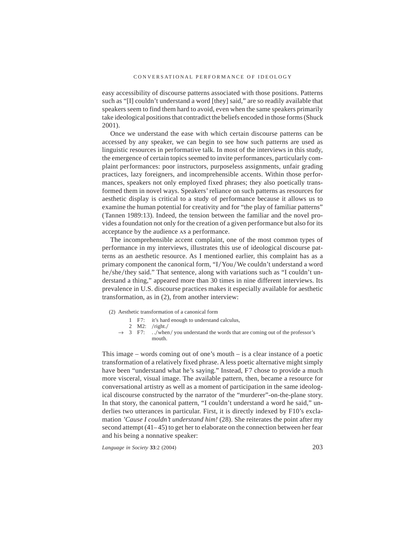easy accessibility of discourse patterns associated with those positions. Patterns such as "[I] couldn't understand a word [they] said," are so readily available that speakers seem to find them hard to avoid, even when the same speakers primarily take ideological positions that contradict the beliefs encoded in those forms (Shuck 2001).

Once we understand the ease with which certain discourse patterns can be accessed by any speaker, we can begin to see how such patterns are used as linguistic resources in performative talk. In most of the interviews in this study, the emergence of certain topics seemed to invite performances, particularly complaint performances: poor instructors, purposeless assignments, unfair grading practices, lazy foreigners, and incomprehensible accents. Within those performances, speakers not only employed fixed phrases; they also poetically transformed them in novel ways. Speakers' reliance on such patterns as resources for aesthetic display is critical to a study of performance because it allows us to examine the human potential for creativity and for "the play of familiar patterns" (Tannen 1989:13). Indeed, the tension between the familiar and the novel provides a foundation not only for the creation of a given performance but also for its acceptance by the audience as a performance.

The incomprehensible accent complaint, one of the most common types of performance in my interviews, illustrates this use of ideological discourse patterns as an aesthetic resource. As I mentioned earlier, this complaint has as a primary component the canonical form, "I/You/We couldn't understand a word he/she/they said." That sentence, along with variations such as "I couldn't understand a thing," appeared more than 30 times in nine different interviews. Its prevalence in U.S. discourse practices makes it especially available for aesthetic transformation, as in (2), from another interview:

(2) Aesthetic transformation of a canonical form

- 1 F7: it's hard enough to understand calculus,
- 2 M2: /right./
- $\rightarrow$  3 F7: ../when/ you understand the words that are coming out of the professor's mouth.

This image – words coming out of one's mouth – is a clear instance of a poetic transformation of a relatively fixed phrase. A less poetic alternative might simply have been "understand what he's saying." Instead, F7 chose to provide a much more visceral, visual image. The available pattern, then, became a resource for conversational artistry as well as a moment of participation in the same ideological discourse constructed by the narrator of the "murderer"-on-the-plane story. In that story, the canonical pattern, "I couldn't understand a word he said," underlies two utterances in particular. First, it is directly indexed by F10's exclamation *'Cause I couldn't understand him!* (28). She reiterates the point after my second attempt (41– 45) to get her to elaborate on the connection between her fear and his being a nonnative speaker:

*Language in Society* **33**:2 (2004) 203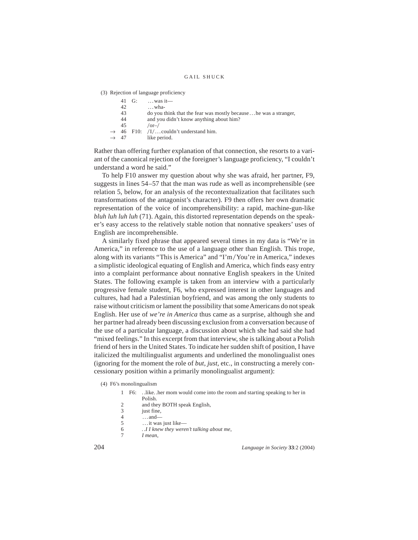(3) Rejection of language proficiency

| do you think that the fear was mostly because he was a stranger, |
|------------------------------------------------------------------|
|                                                                  |
|                                                                  |
|                                                                  |
|                                                                  |
|                                                                  |

Rather than offering further explanation of that connection, she resorts to a variant of the canonical rejection of the foreigner's language proficiency, "I couldn't understand a word he said."

To help F10 answer my question about why she was afraid, her partner, F9, suggests in lines 54–57 that the man was rude as well as incomprehensible (see relation 5, below, for an analysis of the recontextualization that facilitates such transformations of the antagonist's character). F9 then offers her own dramatic representation of the voice of incomprehensibility: a rapid, machine-gun-like *bluh luh luh luh* (71). Again, this distorted representation depends on the speaker's easy access to the relatively stable notion that nonnative speakers' uses of English are incomprehensible.

A similarly fixed phrase that appeared several times in my data is "We're in America," in reference to the use of a language other than English. This trope, along with its variants "This is America" and "I'm/You're in America," indexes a simplistic ideological equating of English and America, which finds easy entry into a complaint performance about nonnative English speakers in the United States. The following example is taken from an interview with a particularly progressive female student, F6, who expressed interest in other languages and cultures, had had a Palestinian boyfriend, and was among the only students to raise without criticism or lament the possibility that some Americans do not speak English. Her use of *we're in America* thus came as a surprise, although she and her partner had already been discussing exclusion from a conversation because of the use of a particular language, a discussion about which she had said she had "mixed feelings." In this excerpt from that interview, she is talking about a Polish friend of hers in the United States. To indicate her sudden shift of position, I have italicized the multilingualist arguments and underlined the monolingualist ones (ignoring for the moment the role of *but*, *just*, etc., in constructing a merely concessionary position within a primarily monolingualist argument):

(4) F6's monolingualism

|  | 1 F6: .1ike. her mom would come into the room and starting speaking to her in |
|--|-------------------------------------------------------------------------------|
|  | Polish.                                                                       |

- 2 and they BOTH speak English,
- 3 just fine,
- 4 ...and—
- 5 ...it was just like—
- 6 *. .I I knew they weren't talking about me*,
- 7 *I mean*,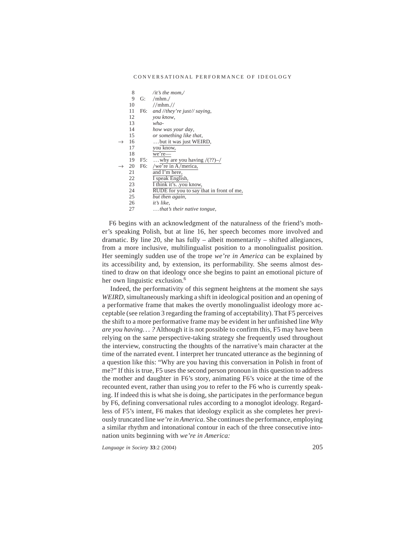#### CONVERSATIONAL PERFORMANCE OF IDEOLOGY

|               | 8  | /it's the mom./                          |
|---------------|----|------------------------------------------|
|               | 9  | G: /mhm. /                               |
|               | 10 | // <sub>mbm</sub> ]/                     |
|               | 11 | F6: and //they're just// saying,         |
|               | 12 | you know,                                |
|               | 13 | wha-                                     |
|               | 14 | how was your day,                        |
|               | 15 | or something like that,                  |
| $\rightarrow$ | 16 | but it was just WEIRD,                   |
|               | 17 | you know,                                |
|               | 18 | we're-                                   |
|               | 19 | F5:  why are you having $/(?)$ -/        |
| $\rightarrow$ |    | 20 F6: /we're in A/merica,               |
|               | 21 | and I'm here,                            |
|               | 22 | I speak English,                         |
|               | 23 | I think it's. you know,                  |
|               | 24 | RUDE for you to say that in front of me, |
|               | 25 | but then again,                          |
|               | 26 | it's like.                               |
|               | 27 | that's their native tongue,              |
|               |    |                                          |

F6 begins with an acknowledgment of the naturalness of the friend's mother's speaking Polish, but at line 16, her speech becomes more involved and dramatic. By line 20, she has fully – albeit momentarily – shifted allegiances, from a more inclusive, multilingualist position to a monolingualist position. Her seemingly sudden use of the trope *we're in America* can be explained by its accessibility and, by extension, its performability. She seems almost destined to draw on that ideology once she begins to paint an emotional picture of her own linguistic exclusion.<sup>6</sup>

Indeed, the performativity of this segment heightens at the moment she says *WEIRD*, simultaneously marking a shift in ideological position and an opening of a performative frame that makes the overtly monolingualist ideology more acceptable (see relation 3 regarding the framing of acceptability). That F5 perceives the shift to a more performative frame may be evident in her unfinished line *Why are you having. . . ?* Although it is not possible to confirm this, F5 may have been relying on the same perspective-taking strategy she frequently used throughout the interview, constructing the thoughts of the narrative's main character at the time of the narrated event. I interpret her truncated utterance as the beginning of a question like this: "Why are you having this conversation in Polish in front of me?" If this is true, F5 uses the second person pronoun in this question to address the mother and daughter in F6's story, animating F6's voice at the time of the recounted event, rather than using *you* to refer to the F6 who is currently speaking. If indeed this is what she is doing, she participates in the performance begun by F6, defining conversational rules according to a monoglot ideology. Regardless of F5's intent, F6 makes that ideology explicit as she completes her previously truncated line *we're in America*. She continues the performance, employing a similar rhythm and intonational contour in each of the three consecutive intonation units beginning with *we're in America:*

*Language in Society* **33**:2 (2004) 205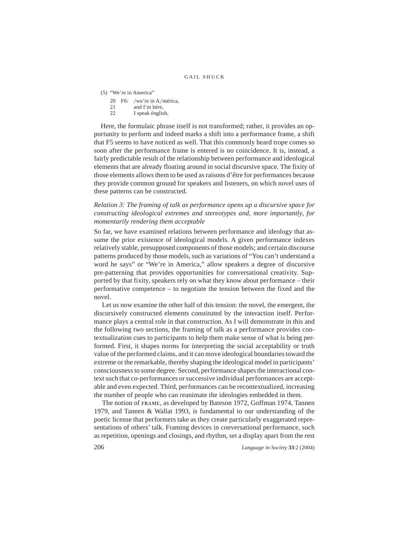- (5) "We're in America"
	- 20 F6: /we're in A/mérica,<br>21 and  $\Gamma$ m hére
	- 21 and I'm hére,<br>22 I speak énglis
	- I speak énglish,

Here, the formulaic phrase itself is not transformed; rather, it provides an opportunity to perform and indeed marks a shift into a performance frame, a shift that F5 seems to have noticed as well. That this commonly heard trope comes so soon after the performance frame is entered is no coincidence. It is, instead, a fairly predictable result of the relationship between performance and ideological elements that are already floating around in social discursive space. The fixity of those elements allows them to be used as raisons d'être for performances because they provide common ground for speakers and listeners, on which novel uses of these patterns can be constructed.

*Relation 3: The framing of talk as performance opens up a discursive space for constructing ideological extremes and stereotypes and, more importantly, for momentarily rendering them acceptable*

So far, we have examined relations between performance and ideology that assume the prior existence of ideological models. A given performance indexes relatively stable, presupposed components of those models; and certain discourse patterns produced by those models, such as variations of "You can't understand a word he says" or "We're in America," allow speakers a degree of discursive pre-patterning that provides opportunities for conversational creativity. Supported by that fixity, speakers rely on what they know about performance – their performative competence – to negotiate the tension between the fixed and the novel.

Let us now examine the other half of this tension: the novel, the emergent, the discursively constructed elements constituted by the interaction itself. Performance plays a central role in that construction. As I will demonstrate in this and the following two sections, the framing of talk as a performance provides contextualization cues to participants to help them make sense of what is being performed. First, it shapes norms for interpreting the social acceptability or truth value of the performed claims, and it can move ideological boundaries toward the extreme or the remarkable, thereby shaping the ideological model in participants' consciousness to some degree. Second, performance shapes the interactional context such that co-performances or successive individual performances are acceptable and even expected. Third, performances can be recontextualized, increasing the number of people who can reanimate the ideologies embedded in them.

The notion of frame, as developed by Bateson 1972, Goffman 1974, Tannen 1979, and Tannen & Wallat 1993, is fundamental to our understanding of the poetic license that performers take as they create particularly exaggerated representations of others' talk. Framing devices in conversational performance, such as repetition, openings and closings, and rhythm, set a display apart from the rest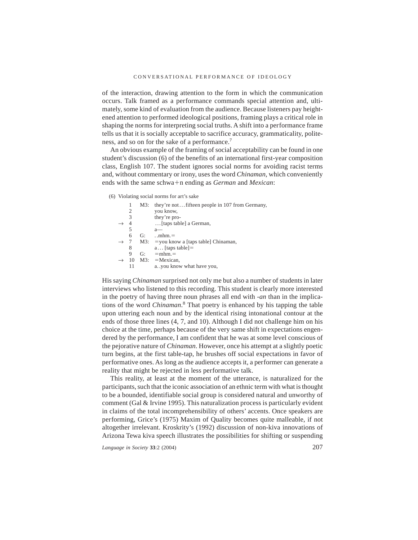of the interaction, drawing attention to the form in which the communication occurs. Talk framed as a performance commands special attention and, ultimately, some kind of evaluation from the audience. Because listeners pay heightened attention to performed ideological positions, framing plays a critical role in shaping the norms for interpreting social truths. A shift into a performance frame tells us that it is socially acceptable to sacrifice accuracy, grammaticality, politeness, and so on for the sake of a performance.7

An obvious example of the framing of social acceptability can be found in one student's discussion (6) of the benefits of an international first-year composition class, English 107. The student ignores social norms for avoiding racist terms and, without commentary or irony, uses the word *Chinaman*, which conveniently ends with the same schwa+n ending as *German* and *Mexican*:

(6) Violating social norms for art's sake

|               |    |    | M3: they're not fifteen people in 107 from Germany, |
|---------------|----|----|-----------------------------------------------------|
|               | 2  |    | you know,                                           |
|               | 3  |    | they're pro-                                        |
|               | 4  |    | [taps table] a German,                              |
|               | 5  |    |                                                     |
|               | 6  | G: | $$ mhm. $=$                                         |
| $\rightarrow$ |    |    | $M3:$ = you know a [taps table] Chinaman,           |
|               | 8  |    | $a$ [taps table] =                                  |
|               | 9  | G: | $=$ mhm. $=$                                        |
|               | 10 |    | $M3: =$ Mexican,                                    |
|               | 11 |    | a. you know what have you,                          |
|               |    |    |                                                     |

His saying *Chinaman* surprised not only me but also a number of students in later interviews who listened to this recording. This student is clearly more interested in the poetry of having three noun phrases all end with *-an* than in the implications of the word *Chinaman*. <sup>8</sup> That poetry is enhanced by his tapping the table upon uttering each noun and by the identical rising intonational contour at the ends of those three lines (4, 7, and 10). Although I did not challenge him on his choice at the time, perhaps because of the very same shift in expectations engendered by the performance, I am confident that he was at some level conscious of the pejorative nature of *Chinaman*. However, once his attempt at a slightly poetic turn begins, at the first table-tap, he brushes off social expectations in favor of performative ones. As long as the audience accepts it, a performer can generate a reality that might be rejected in less performative talk.

This reality, at least at the moment of the utterance, is naturalized for the participants, such that the iconic association of an ethnic term with what is thought to be a bounded, identifiable social group is considered natural and unworthy of comment (Gal & Irvine 1995). This naturalization process is particularly evident in claims of the total incomprehensibility of others' accents. Once speakers are performing, Grice's (1975) Maxim of Quality becomes quite malleable, if not altogether irrelevant. Kroskrity's (1992) discussion of non-kiva innovations of Arizona Tewa kiva speech illustrates the possibilities for shifting or suspending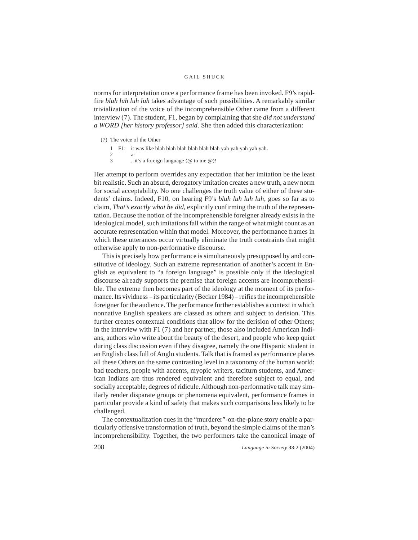#### GAIL SHUCK

norms for interpretation once a performance frame has been invoked. F9's rapidfire *bluh luh luh luh* takes advantage of such possibilities. A remarkably similar trivialization of the voice of the incomprehensible Other came from a different interview (7). The student, F1, began by complaining that she *did not understand a WORD [her history professor] said*. She then added this characterization:

#### (7) The voice of the Other

- 1 F1: it was like blah blah blah blah blah blah yah yah yah yah yah.
- $\frac{2}{3}$
- . .it's a foreign language  $\langle \omega \rangle$  to me  $\langle \omega \rangle$ !

Her attempt to perform overrides any expectation that her imitation be the least bit realistic. Such an absurd, derogatory imitation creates a new truth, a new norm for social acceptability. No one challenges the truth value of either of these students' claims. Indeed, F10, on hearing F9's *bluh luh luh luh*, goes so far as to claim, *That's exactly what he did*, explicitly confirming the truth of the representation. Because the notion of the incomprehensible foreigner already exists in the ideological model, such imitations fall within the range of what might count as an accurate representation within that model. Moreover, the performance frames in which these utterances occur virtually eliminate the truth constraints that might otherwise apply to non-performative discourse.

This is precisely how performance is simultaneously presupposed by and constitutive of ideology. Such an extreme representation of another's accent in English as equivalent to "a foreign language" is possible only if the ideological discourse already supports the premise that foreign accents are incomprehensible. The extreme then becomes part of the ideology at the moment of its performance. Its vividness – its particularity (Becker 1984) – reifies the incomprehensible foreigner for the audience. The performance further establishes a context in which nonnative English speakers are classed as others and subject to derision. This further creates contextual conditions that allow for the derision of other Others; in the interview with F1 (7) and her partner, those also included American Indians, authors who write about the beauty of the desert, and people who keep quiet during class discussion even if they disagree, namely the one Hispanic student in an English class full of Anglo students. Talk that is framed as performance places all these Others on the same contrasting level in a taxonomy of the human world: bad teachers, people with accents, myopic writers, taciturn students, and American Indians are thus rendered equivalent and therefore subject to equal, and socially acceptable, degrees of ridicule.Although non-performative talk may similarly render disparate groups or phenomena equivalent, performance frames in particular provide a kind of safety that makes such comparisons less likely to be challenged.

The contextualization cues in the "murderer"-on-the-plane story enable a particularly offensive transformation of truth, beyond the simple claims of the man's incomprehensibility. Together, the two performers take the canonical image of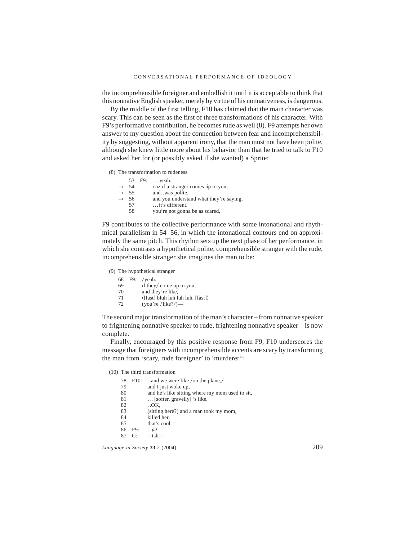the incomprehensible foreigner and embellish it until it is acceptable to think that this nonnative English speaker, merely by virtue of his nonnativeness, is dangerous.

By the middle of the first telling, F10 has claimed that the main character was scary. This can be seen as the first of three transformations of his character. With F9's performative contribution, he becomes rude as well (8). F9 attempts her own answer to my question about the connection between fear and incomprehensibility by suggesting, without apparent irony, that the man must not have been polite, although she knew little more about his behavior than that he tried to talk to F10 and asked her for (or possibly asked if she wanted) a Sprite:

(8) The transformation to rudeness

|               |                  | 53 F9: yeah.                            |
|---------------|------------------|-----------------------------------------|
| $\rightarrow$ | .54              | cuz if a stranger comes úp to you,      |
|               | $\rightarrow$ 55 | and. .was políte,                       |
| $\rightarrow$ | 56               | and you understand what they're sáying, |
|               | 57               | it's different.                         |
|               | 58               | you're not gonna be as scared,          |
|               |                  |                                         |

F9 contributes to the collective performance with some intonational and rhythmical parallelism in 54–56, in which the intonational contours end on approximately the same pitch. This rhythm sets up the next phase of her performance, in which she contrasts a hypothetical polite, comprehensible stranger with the rude, incomprehensible stranger she imagines the man to be:

(9) The hypothetical stranger

68 F9:  $\frac{\text{y} \cdot \text{y}}{\text{y} \cdot \text{y}}$  f they

- 69 if they/come up to you,<br>70 and they're like.
- and they're like,
- 71 ([fast] bluh luh luh luh. [fast]
- 72 (you're /like?/)—

The second major transformation of the man's character – from nonnative speaker to frightening nonnative speaker to rude, frightening nonnative speaker – is now complete.

Finally, encouraged by this positive response from F9, F10 underscores the message that foreigners with incomprehensible accents are scary by transforming the man from 'scary, rude foreigner' to 'murderer':

(10) The third transformation

| 78 | F10:           | and we were like /on the plane./                |
|----|----------------|-------------------------------------------------|
| 79 |                | and I just woke up,                             |
| 80 |                | and he's like sitting where my mom used to sit, |
| 81 |                | [softer, gravelly] 's like,                     |
| 82 |                | . .OK.                                          |
| 83 |                | (sitting here?) and a man took my mom,          |
| 84 |                | killed her,                                     |
| 85 |                | that's $\text{cool} =$                          |
| 86 | F9:            | $=$ $\omega$ =                                  |
| 87 | G <sup>.</sup> | $=$ tsh. $=$                                    |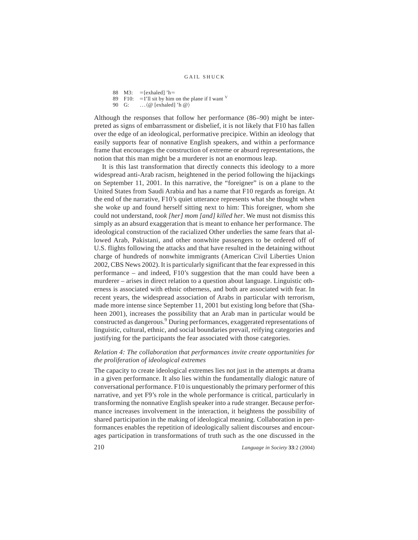```
88 M3: =[exhaled]'<sup>h=</sup>
89 F10: =I'll sit by him on the plane if I want <sup>V</sup>
90 G: \ldots \langle \emptyset [exhaled] 'h \emptyset \rangle
```
Although the responses that follow her performance (86–90) might be interpreted as signs of embarrassment or disbelief, it is not likely that F10 has fallen over the edge of an ideological, performative precipice. Within an ideology that easily supports fear of nonnative English speakers, and within a performance frame that encourages the construction of extreme or absurd representations, the notion that this man might be a murderer is not an enormous leap.

It is this last transformation that directly connects this ideology to a more widespread anti-Arab racism, heightened in the period following the hijackings on September 11, 2001. In this narrative, the "foreigner" is on a plane to the United States from Saudi Arabia and has a name that F10 regards as foreign. At the end of the narrative, F10's quiet utterance represents what she thought when she woke up and found herself sitting next to him: This foreigner, whom she could not understand, *took [her] mom [and] killed her*. We must not dismiss this simply as an absurd exaggeration that is meant to enhance her performance. The ideological construction of the racialized Other underlies the same fears that allowed Arab, Pakistani, and other nonwhite passengers to be ordered off of U.S. flights following the attacks and that have resulted in the detaining without charge of hundreds of nonwhite immigrants (American Civil Liberties Union 2002, CBS News 2002). It is particularly significant that the fear expressed in this performance – and indeed, F10's suggestion that the man could have been a murderer – arises in direct relation to a question about language. Linguistic otherness is associated with ethnic otherness, and both are associated with fear. In recent years, the widespread association of Arabs in particular with terrorism, made more intense since September 11, 2001 but existing long before that (Shaheen 2001), increases the possibility that an Arab man in particular would be constructed as dangerous.9 During performances, exaggerated representations of linguistic, cultural, ethnic, and social boundaries prevail, reifying categories and justifying for the participants the fear associated with those categories.

## *Relation 4: The collaboration that performances invite create opportunities for the proliferation of ideological extremes*

The capacity to create ideological extremes lies not just in the attempts at drama in a given performance. It also lies within the fundamentally dialogic nature of conversational performance. F10 is unquestionably the primary performer of this narrative, and yet F9's role in the whole performance is critical, particularly in transforming the nonnative English speaker into a rude stranger. Because performance increases involvement in the interaction, it heightens the possibility of shared participation in the making of ideological meaning. Collaboration in performances enables the repetition of ideologically salient discourses and encourages participation in transformations of truth such as the one discussed in the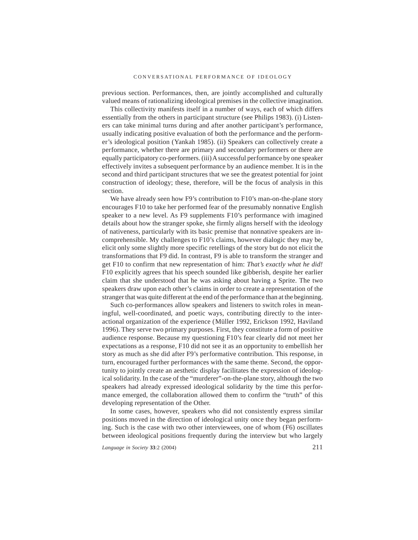previous section. Performances, then, are jointly accomplished and culturally valued means of rationalizing ideological premises in the collective imagination.

This collectivity manifests itself in a number of ways, each of which differs essentially from the others in participant structure (see Philips 1983). (i) Listeners can take minimal turns during and after another participant's performance, usually indicating positive evaluation of both the performance and the performer's ideological position (Yankah 1985). (ii) Speakers can collectively create a performance, whether there are primary and secondary performers or there are equally participatory co-performers. (iii) A successful performance by one speaker effectively invites a subsequent performance by an audience member. It is in the second and third participant structures that we see the greatest potential for joint construction of ideology; these, therefore, will be the focus of analysis in this section.

We have already seen how F9's contribution to F10's man-on-the-plane story encourages F10 to take her performed fear of the presumably nonnative English speaker to a new level. As F9 supplements F10's performance with imagined details about how the stranger spoke, she firmly aligns herself with the ideology of nativeness, particularly with its basic premise that nonnative speakers are incomprehensible. My challenges to F10's claims, however dialogic they may be, elicit only some slightly more specific retellings of the story but do not elicit the transformations that F9 did. In contrast, F9 is able to transform the stranger and get F10 to confirm that new representation of him: *That's exactly what he did!* F10 explicitly agrees that his speech sounded like gibberish, despite her earlier claim that she understood that he was asking about having a Sprite. The two speakers draw upon each other's claims in order to create a representation of the stranger that was quite different at the end of the performance than at the beginning.

Such co-performances allow speakers and listeners to switch roles in meaningful, well-coordinated, and poetic ways, contributing directly to the interactional organization of the experience (Müller 1992, Erickson 1992, Haviland 1996). They serve two primary purposes. First, they constitute a form of positive audience response. Because my questioning F10's fear clearly did not meet her expectations as a response, F10 did not see it as an opportunity to embellish her story as much as she did after F9's performative contribution. This response, in turn, encouraged further performances with the same theme. Second, the opportunity to jointly create an aesthetic display facilitates the expression of ideological solidarity. In the case of the "murderer"-on-the-plane story, although the two speakers had already expressed ideological solidarity by the time this performance emerged, the collaboration allowed them to confirm the "truth" of this developing representation of the Other.

In some cases, however, speakers who did not consistently express similar positions moved in the direction of ideological unity once they began performing. Such is the case with two other interviewees, one of whom (F6) oscillates between ideological positions frequently during the interview but who largely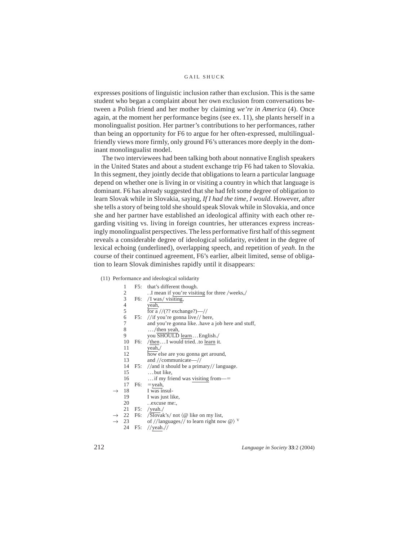#### GAIL SHUCK

expresses positions of linguistic inclusion rather than exclusion. This is the same student who began a complaint about her own exclusion from conversations between a Polish friend and her mother by claiming *we're in America* (4). Once again, at the moment her performance begins (see ex. 11), she plants herself in a monolingualist position. Her partner's contributions to her performances, rather than being an opportunity for F6 to argue for her often-expressed, multilingualfriendly views more firmly, only ground F6's utterances more deeply in the dominant monolingualist model.

The two interviewees had been talking both about nonnative English speakers in the United States and about a student exchange trip F6 had taken to Slovakia. In this segment, they jointly decide that obligations to learn a particular language depend on whether one is living in or visiting a country in which that language is dominant. F6 has already suggested that she had felt some degree of obligation to learn Slovak while in Slovakia, saying, *If I had the time, I would*. However, after she tells a story of being told she should speak Slovak while in Slovakia, and once she and her partner have established an ideological affinity with each other regarding visiting vs. living in foreign countries, her utterances express increasingly monolingualist perspectives. The less performative first half of this segment reveals a considerable degree of ideological solidarity, evident in the degree of lexical echoing (underlined), overlapping speech, and repetition of *yeah*. In the course of their continued agreement, F6's earlier, albeit limited, sense of obligation to learn Slovak diminishes rapidly until it disappears:

(11) Performance and ideological solidarity

|               | 1  |     | F5: that's different though.                                   |
|---------------|----|-----|----------------------------------------------------------------|
|               | 2  |     | I mean if you're visiting for three /weeks./                   |
|               | 3  | F6: | /I was/visiting,                                               |
|               | 4  |     | yeah,                                                          |
|               | 5  |     | for a $\frac{1}{2}$ ? exchange?)— $\frac{1}{\sqrt{2}}$         |
|               | 6  | F5: | //if you're gonna live// here,                                 |
|               | 7  |     | and you're gonna like. have a job here and stuff,              |
|               | 8  |     | $\ldots$ /then yeah,                                           |
|               | 9  |     | you SHOULD learn English./                                     |
|               | 10 |     | F6: /thenI would triedto learn it.                             |
|               | 11 |     | yeah,/                                                         |
|               | 12 |     | how else are you gonna get around,                             |
|               | 13 |     | and //communicate $-$ //                                       |
|               | 14 |     | F5: //and it should be a primary// language.                   |
|               | 15 |     | but like,                                                      |
|               | 16 |     | $\dots$ if my friend was visiting from $\_\_$                  |
|               | 17 |     | $F6: = \text{veah}$ ,                                          |
| $\rightarrow$ | 18 |     | I was insul-                                                   |
|               | 19 |     | I was just like,                                               |
|               | 20 |     | excuse me:,                                                    |
|               | 21 |     | $F5:$ /yeah./                                                  |
| $\rightarrow$ |    |     | 22 F6: /Slovak's/not $\langle \omega \rangle$ like on my list, |
| $\rightarrow$ |    | 23  | of //languages// to learn right now $\omega$ ) $\vee$          |
|               | 24 |     | F5: $//$ yeah.//                                               |
|               |    |     |                                                                |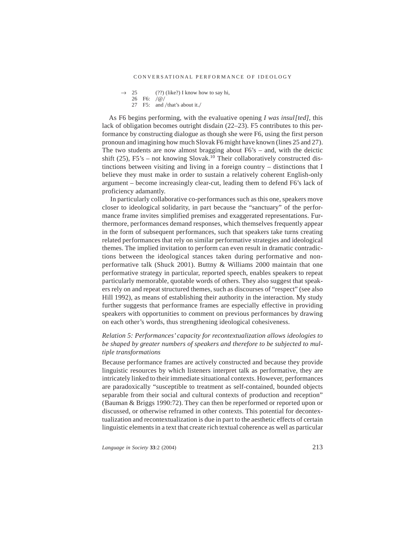#### CONVERSATIONAL PERFORMANCE OF IDEOLOGY

```
\rightarrow 25 (??) (like?) I know how to say hi,
     26 F6: /\mathcal{Q}/27 F5: and /that's about it./
```
As F6 begins performing, with the evaluative opening *I was insul[ted]*, this lack of obligation becomes outright disdain (22–23). F5 contributes to this performance by constructing dialogue as though she were F6, using the first person pronoun and imagining how much Slovak F6 might have known (lines 25 and 27). The two students are now almost bragging about  $F6$ 's – and, with the deictic shift (25), F5's – not knowing Slovak.<sup>10</sup> Their collaboratively constructed distinctions between visiting and living in a foreign country – distinctions that I believe they must make in order to sustain a relatively coherent English-only argument – become increasingly clear-cut, leading them to defend F6's lack of proficiency adamantly.

In particularly collaborative co-performances such as this one, speakers move closer to ideological solidarity, in part because the "sanctuary" of the performance frame invites simplified premises and exaggerated representations. Furthermore, performances demand responses, which themselves frequently appear in the form of subsequent performances, such that speakers take turns creating related performances that rely on similar performative strategies and ideological themes. The implied invitation to perform can even result in dramatic contradictions between the ideological stances taken during performative and nonperformative talk (Shuck 2001). Buttny & Williams 2000 maintain that one performative strategy in particular, reported speech, enables speakers to repeat particularly memorable, quotable words of others. They also suggest that speakers rely on and repeat structured themes, such as discourses of "respect" (see also Hill 1992), as means of establishing their authority in the interaction. My study further suggests that performance frames are especially effective in providing speakers with opportunities to comment on previous performances by drawing on each other's words, thus strengthening ideological cohesiveness.

## *Relation 5: Performances' capacity for recontextualization allows ideologies to be shaped by greater numbers of speakers and therefore to be subjected to multiple transformations*

Because performance frames are actively constructed and because they provide linguistic resources by which listeners interpret talk as performative, they are intricately linked to their immediate situational contexts. However, performances are paradoxically "susceptible to treatment as self-contained, bounded objects separable from their social and cultural contexts of production and reception" (Bauman & Briggs 1990:72). They can then be reperformed or reported upon or discussed, or otherwise reframed in other contexts. This potential for decontextualization and recontextualization is due in part to the aesthetic effects of certain linguistic elements in a text that create rich textual coherence as well as particular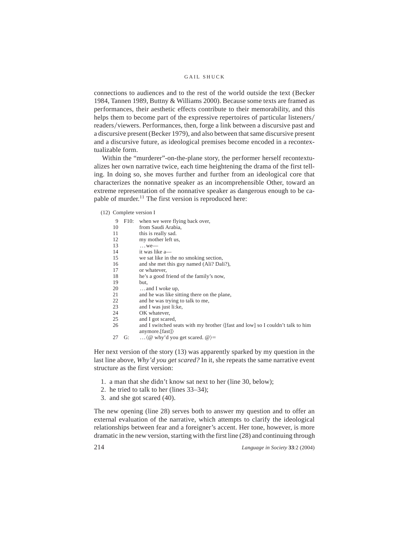#### GAIL SHUCK

connections to audiences and to the rest of the world outside the text (Becker 1984, Tannen 1989, Buttny & Williams 2000). Because some texts are framed as performances, their aesthetic effects contribute to their memorability, and this helps them to become part of the expressive repertoires of particular listeners/ readers/viewers. Performances, then, forge a link between a discursive past and a discursive present (Becker 1979), and also between that same discursive present and a discursive future, as ideological premises become encoded in a recontextualizable form.

Within the "murderer"-on-the-plane story, the performer herself recontextualizes her own narrative twice, each time heightening the drama of the first telling. In doing so, she moves further and further from an ideological core that characterizes the nonnative speaker as an incomprehensible Other, toward an extreme representation of the nonnative speaker as dangerous enough to be capable of murder.<sup>11</sup> The first version is reproduced here:

(12) Complete version I

| 9  | F10: | when we were flying back over,                                                |
|----|------|-------------------------------------------------------------------------------|
| 10 |      | from Saudi Arabia,                                                            |
| 11 |      | this is really sad.                                                           |
| 12 |      | my mother left us,                                                            |
| 13 |      | $\dots$ we —                                                                  |
| 14 |      | it was like a-                                                                |
| 15 |      | we sat like in the no smoking section,                                        |
| 16 |      | and she met this guy named (Ali? Dali?),                                      |
| 17 |      | or whatever,                                                                  |
| 18 |      | he's a good friend of the family's now,                                       |
| 19 |      | but,                                                                          |
| 20 |      | and I woke up,                                                                |
| 21 |      | and he was like sitting there on the plane,                                   |
| 22 |      | and he was trying to talk to me,                                              |
| 23 |      | and I was just li:ke,                                                         |
| 24 |      | OK whatever,                                                                  |
| 25 |      | and I got scared,                                                             |
| 26 |      | and I switched seats with my brother (fast and low) so I couldn't talk to him |
|    |      | anymore. [fast] $\rangle$                                                     |
| 27 | G:   | $\langle \omega$ why'd you get scared. $\omega$ =                             |

Her next version of the story (13) was apparently sparked by my question in the last line above, *Why'd you get scared?* In it, she repeats the same narrative event structure as the first version:

- 1. a man that she didn't know sat next to her (line 30, below);
- 2. he tried to talk to her (lines 33–34);
- 3. and she got scared (40).

The new opening (line 28) serves both to answer my question and to offer an external evaluation of the narrative, which attempts to clarify the ideological relationships between fear and a foreigner's accent. Her tone, however, is more dramatic in the new version, starting with the first line (28) and continuing through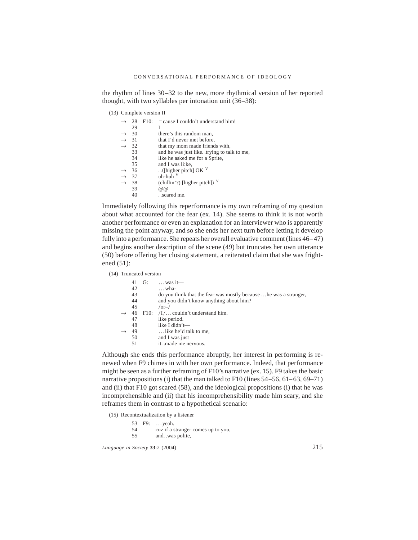the rhythm of lines 30–32 to the new, more rhythmical version of her reported thought, with two syllables per intonation unit (36–38):

(13) Complete version II

| $\rightarrow$ | 28               | F10: | $=$ cause I couldn't understand him!        |
|---------------|------------------|------|---------------------------------------------|
|               | 29               |      |                                             |
| $\rightarrow$ | 30               |      | there's this random man,                    |
| $\rightarrow$ | -31              |      | that I'd never met before,                  |
|               | $\rightarrow$ 32 |      | that my mom made friends with,              |
|               | 33               |      | and he was just like. trying to talk to me. |
|               | 34               |      | like he asked me for a Sprite,              |
|               | 35               |      | and I was li: ke,                           |
| $\rightarrow$ | -36              |      | ([higher pitch] OK $V$                      |
| $\rightarrow$ | 37               |      | $uh$ -huh $V$                               |
| $\rightarrow$ | -38              |      | (chillin'?) [higher pitch]) $V$             |
|               | 39               |      | $\omega$ $\omega$                           |
|               | 40               |      | scared me.                                  |
|               |                  |      |                                             |

Immediately following this reperformance is my own reframing of my question about what accounted for the fear (ex. 14). She seems to think it is not worth another performance or even an explanation for an interviewer who is apparently missing the point anyway, and so she ends her next turn before letting it develop fully into a performance. She repeats her overall evaluative comment (lines 46–47) and begins another description of the scene (49) but truncates her own utterance (50) before offering her closing statement, a reiterated claim that she was frightened (51):

#### (14) Truncated version

|               | 41 | G:   | $\dots$ was it—                                                  |
|---------------|----|------|------------------------------------------------------------------|
|               | 42 |      | $\dots$ wha-                                                     |
|               | 43 |      | do you think that the fear was mostly because he was a stranger, |
|               | 44 |      | and you didn't know anything about him?                          |
|               | 45 |      | $\overline{\overline{\overline{\overline{\overline{C}}}}$        |
| $\rightarrow$ | 46 | F10: | $/I/\ldots$ couldn't understand him.                             |
|               | 47 |      | like period.                                                     |
|               | 48 |      | like I didn't—                                                   |
| $\rightarrow$ | 49 |      | like he'd talk to me,                                            |
|               | 50 |      | and I was just—                                                  |
|               | 51 |      | it. made me nervous.                                             |
|               |    |      |                                                                  |

Although she ends this performance abruptly, her interest in performing is renewed when F9 chimes in with her own performance. Indeed, that performance might be seen as a further reframing of F10's narrative (ex. 15). F9 takes the basic narrative propositions (i) that the man talked to  $F10$  (lines  $54-56$ ,  $61-63$ ,  $69-71$ ) and (ii) that F10 got scared (58), and the ideological propositions (i) that he was incomprehensible and (ii) that his incomprehensibility made him scary, and she reframes them in contrast to a hypothetical scenario:

(15) Recontextualization by a listener

53 F9: ...yeah.

- 54 cuz if a stranger comes up to you,
- 55 and. .was polite,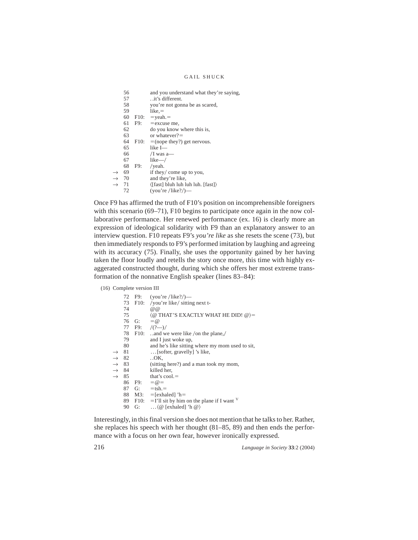#### GAIL SHUCK

|               | 56 |      | and you understand what they're saying, |
|---------------|----|------|-----------------------------------------|
|               | 57 |      | it's different.                         |
|               | 58 |      | you're not gonna be as scared,          |
|               | 59 |      | $like =$                                |
|               | 60 | F10: | $=$ yeah. $=$                           |
|               | 61 | F9:  | $=$ excuse me,                          |
|               | 62 |      | do you know where this is,              |
|               | 63 |      | or whatever? $=$                        |
|               | 64 | F10: | $=$ (nope they?) get nervous.           |
|               | 65 |      | like I—                                 |
|               | 66 |      | /I was a—                               |
|               | 67 |      | $like-$ /                               |
|               | 68 | F9:  | / $veah$ .                              |
| $\rightarrow$ | 69 |      | if they/ come up to you,                |
| $\rightarrow$ | 70 |      | and they're like,                       |
| $\rightarrow$ | 71 |      | ([fast] bluh luh luh luh. [fast])       |
|               | 72 |      | $(you're / like?)/$ —                   |
|               |    |      |                                         |

Once F9 has affirmed the truth of F10's position on incomprehensible foreigners with this scenario (69–71), F10 begins to participate once again in the now collaborative performance. Her renewed performance (ex. 16) is clearly more an expression of ideological solidarity with F9 than an explanatory answer to an interview question. F10 repeats F9's *you're like* as she resets the scene (73), but then immediately responds to F9's performed imitation by laughing and agreeing with its accuracy (75). Finally, she uses the opportunity gained by her having taken the floor loudly and retells the story once more, this time with highly exaggerated constructed thought, during which she offers her most extreme transformation of the nonnative English speaker (lines 83–84):

```
(16) Complete version III
```

|               | 72 |               | $(vou're / like?')$ —                                    |
|---------------|----|---------------|----------------------------------------------------------|
|               |    | F9:           |                                                          |
|               | 73 |               | $F10$ : /you're like/ sitting next t-                    |
|               | 74 |               | $\omega$ $\omega$                                        |
|               | 75 |               | $\langle$ @ THAT'S EXACTLY WHAT HE DID! @ $\rangle$ =    |
|               | 76 | $G: = \omega$ |                                                          |
|               | 77 |               | $F9:/(?-)/$                                              |
|               | 78 |               | F10: .and we were like /on the plane,/                   |
|               | 79 |               | and I just woke up,                                      |
|               | 80 |               | and he's like sitting where my mom used to sit,          |
| $\rightarrow$ | 81 |               | [softer, gravelly] 's like,                              |
| $\rightarrow$ | 82 |               | .0K                                                      |
| $\rightarrow$ | 83 |               | (sitting here?) and a man took my mom,                   |
| $\rightarrow$ | 84 |               | killed her,                                              |
| $\rightarrow$ | 85 |               | that's $\text{cool} =$                                   |
|               | 86 |               | $F9: = \omega =$                                         |
|               | 87 |               | $G:$ = tsh. =                                            |
|               | 88 |               | $M3:$ = [exhaled] 'h=                                    |
|               | 89 |               | F10: $=$ I'll sit by him on the plane if I want $\rm{V}$ |
|               | 90 | G:            | $\ldots$ (@ [exhaled] 'h @)                              |
|               |    |               |                                                          |

Interestingly, in this final version she does not mention that he talks to her. Rather, she replaces his speech with her thought (81–85, 89) and then ends the performance with a focus on her own fear, however ironically expressed.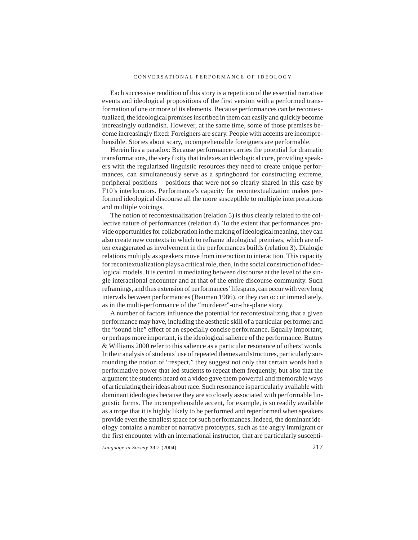Each successive rendition of this story is a repetition of the essential narrative events and ideological propositions of the first version with a performed transformation of one or more of its elements. Because performances can be recontextualized, the ideological premises inscribed in them can easily and quickly become increasingly outlandish. However, at the same time, some of those premises become increasingly fixed: Foreigners are scary. People with accents are incomprehensible. Stories about scary, incomprehensible foreigners are performable.

Herein lies a paradox: Because performance carries the potential for dramatic transformations, the very fixity that indexes an ideological core, providing speakers with the regularized linguistic resources they need to create unique performances, can simultaneously serve as a springboard for constructing extreme, peripheral positions – positions that were not so clearly shared in this case by F10's interlocutors. Performance's capacity for recontextualization makes performed ideological discourse all the more susceptible to multiple interpretations and multiple voicings.

The notion of recontextualization (relation 5) is thus clearly related to the collective nature of performances (relation 4). To the extent that performances provide opportunities for collaboration in the making of ideological meaning, they can also create new contexts in which to reframe ideological premises, which are often exaggerated as involvement in the performances builds (relation 3). Dialogic relations multiply as speakers move from interaction to interaction. This capacity for recontextualization plays a critical role, then, in the social construction of ideological models. It is central in mediating between discourse at the level of the single interactional encounter and at that of the entire discourse community. Such reframings, and thus extension of performances'lifespans, can occur with very long intervals between performances (Bauman 1986), or they can occur immediately, as in the multi-performance of the "murderer"-on-the-plane story.

A number of factors influence the potential for recontextualizing that a given performance may have, including the aesthetic skill of a particular performer and the "sound bite" effect of an especially concise performance. Equally important, or perhaps more important, is the ideological salience of the performance. Buttny & Williams 2000 refer to this salience as a particular resonance of others' words. In their analysis of students'use of repeated themes and structures, particularly surrounding the notion of "respect," they suggest not only that certain words had a performative power that led students to repeat them frequently, but also that the argument the students heard on a video gave them powerful and memorable ways of articulating their ideas about race. Such resonance is particularly available with dominant ideologies because they are so closely associated with performable linguistic forms. The incomprehensible accent, for example, is so readily available as a trope that it is highly likely to be performed and reperformed when speakers provide even the smallest space for such performances. Indeed, the dominant ideology contains a number of narrative prototypes, such as the angry immigrant or the first encounter with an international instructor, that are particularly suscepti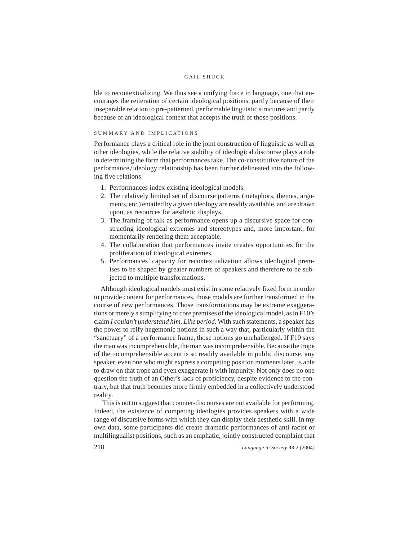ble to recontextualizing. We thus see a unifying force in language, one that encourages the reiteration of certain ideological positions, partly because of their inseparable relation to pre-patterned, performable linguistic structures and partly because of an ideological context that accepts the truth of those positions.

#### SUMMARY AND IMPLICATIONS

Performance plays a critical role in the joint construction of linguistic as well as other ideologies, while the relative stability of ideological discourse plays a role in determining the form that performances take. The co-constitutive nature of the performance/ideology relationship has been further delineated into the following five relations:

- 1. Performances index existing ideological models.
- 2. The relatively limited set of discourse patterns (metaphors, themes, arguments, etc.) entailed by a given ideology are readily available, and are drawn upon, as resources for aesthetic displays.
- 3. The framing of talk as performance opens up a discursive space for constructing ideological extremes and stereotypes and, more important, for momentarily rendering them acceptable.
- 4. The collaboration that performances invite creates opportunities for the proliferation of ideological extremes.
- 5. Performances' capacity for recontextualization allows ideological premises to be shaped by greater numbers of speakers and therefore to be subjected to multiple transformations.

Although ideological models must exist in some relatively fixed form in order to provide content for performances, those models are further transformed in the course of new performances. Those transformations may be extreme exaggerations or merely a simplifying of core premises of the ideological model, as in F10's claim *I couldn't understand him. Like period*. With such statements, a speaker has the power to reify hegemonic notions in such a way that, particularly within the "sanctuary" of a performance frame, those notions go unchallenged. If F10 says the man was incomprehensible, the man was incomprehensible. Because the trope of the incomprehensible accent is so readily available in public discourse, any speaker, even one who might express a competing position moments later, is able to draw on that trope and even exaggerate it with impunity. Not only does no one question the truth of an Other's lack of proficiency, despite evidence to the contrary, but that truth becomes more firmly embedded in a collectively understood reality.

This is not to suggest that counter-discourses are not available for performing. Indeed, the existence of competing ideologies provides speakers with a wide range of discursive forms with which they can display their aesthetic skill. In my own data, some participants did create dramatic performances of anti-racist or multilingualist positions, such as an emphatic, jointly constructed complaint that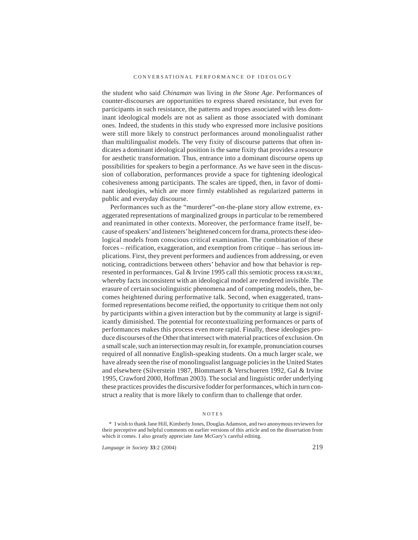the student who said *Chinaman* was living in *the Stone Age*. Performances of counter-discourses are opportunities to express shared resistance, but even for participants in such resistance, the patterns and tropes associated with less dominant ideological models are not as salient as those associated with dominant ones. Indeed, the students in this study who expressed more inclusive positions were still more likely to construct performances around monolingualist rather than multilingualist models. The very fixity of discourse patterns that often indicates a dominant ideological position is the same fixity that provides a resource for aesthetic transformation. Thus, entrance into a dominant discourse opens up possibilities for speakers to begin a performance. As we have seen in the discussion of collaboration, performances provide a space for tightening ideological cohesiveness among participants. The scales are tipped, then, in favor of dominant ideologies, which are more firmly established as regularized patterns in public and everyday discourse.

Performances such as the "murderer"-on-the-plane story allow extreme, exaggerated representations of marginalized groups in particular to be remembered and reanimated in other contexts. Moreover, the performance frame itself, because of speakers'and listeners'heightened concern for drama, protects these ideological models from conscious critical examination. The combination of these forces – reification, exaggeration, and exemption from critique – has serious implications. First, they prevent performers and audiences from addressing, or even noticing, contradictions between others' behavior and how that behavior is represented in performances. Gal & Irvine 1995 call this semiotic process erasure, whereby facts inconsistent with an ideological model are rendered invisible. The erasure of certain sociolinguistic phenomena and of competing models, then, becomes heightened during performative talk. Second, when exaggerated, transformed representations become reified, the opportunity to critique them not only by participants within a given interaction but by the community at large is significantly diminished. The potential for recontextualizing performances or parts of performances makes this process even more rapid. Finally, these ideologies produce discourses of the Other that intersect with material practices of exclusion. On a small scale, such an intersection may result in, for example, pronunciation courses required of all nonnative English-speaking students. On a much larger scale, we have already seen the rise of monolingualist language policies in the United States and elsewhere (Silverstein 1987, Blommaert & Verschueren 1992, Gal & Irvine 1995, Crawford 2000, Hoffman 2003). The social and linguistic order underlying these practices provides the discursive fodder for performances, which in turn construct a reality that is more likely to confirm than to challenge that order.

#### NOTES

<sup>\*</sup> I wish to thank Jane Hill, Kimberly Jones, Douglas Adamson, and two anonymous reviewers for their perceptive and helpful comments on earlier versions of this article and on the dissertation from which it comes. I also greatly appreciate Jane McGary's careful editing.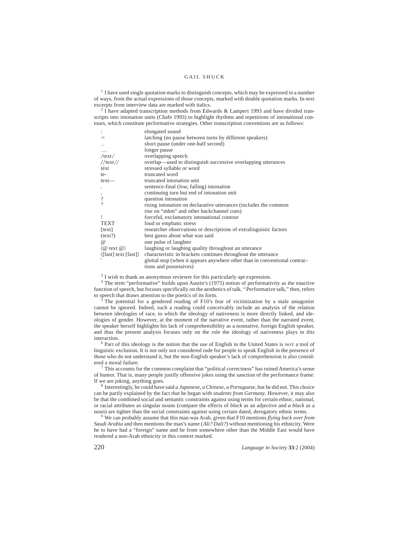<sup>1</sup> I have used single quotation marks to distinguish concepts, which may be expressed in a number of ways, from the actual expressions of those concepts, marked with double quotation marks. In-text excerpts from interview data are marked with italics.<br><sup>2</sup> I have adapted transcription methods from Edwards & Lampert 1993 and have divided tran-

scripts into intonation units (Chafe 1993) to highlight rhythms and repetitions of intonational contours, which constitute performative strategies. Other transcription conventions are as follows:

|                                               | elongated sound                                                                                               |
|-----------------------------------------------|---------------------------------------------------------------------------------------------------------------|
| $=$                                           | latching (no pause between turns by different speakers)                                                       |
| . .                                           | short pause (under one-half second)                                                                           |
| .                                             | longer pause                                                                                                  |
| /text                                         | overlapping speech                                                                                            |
| //text//                                      | overlap—used to distinguish successive overlapping utterances                                                 |
| téxt                                          | stressed syllable or word                                                                                     |
| te-                                           | truncated word                                                                                                |
| $text-$                                       | truncated intonation unit                                                                                     |
|                                               | sentence-final (low, falling) intonation                                                                      |
| ,                                             | continuing turn but end of intonation unit                                                                    |
| $\overline{\cdot}$                            | question intonation                                                                                           |
| $\mathbf{V}$                                  | rising intonation on declarative utterances (includes the common<br>rise on "mhm" and other backchannel cues) |
| Ţ                                             | forceful, exclamatory intonational contour                                                                    |
| <b>TEXT</b>                                   | loud or emphatic stress                                                                                       |
| [text]                                        | researcher observations or descriptions of extralinguistic factors                                            |
| (text?)                                       | best guess about what was said                                                                                |
| $\omega$                                      | one pulse of laughter                                                                                         |
| $\langle \omega \text{ text } \omega \rangle$ | laughing or laughing quality throughout an utterance                                                          |
| ([fast] text [fast])                          | characteristic in brackets continues throughout the utterance                                                 |
|                                               | glottal stop (when it appears anywhere other than in conventional contrac-<br>tions and possessives)          |
|                                               |                                                                                                               |

<sup>3</sup> I wish to thank an anonymous reviewer for this particularly apt expression.

<sup>4</sup> The term "performative" builds upon Austin's (1975) notion of performativity as the enactive function of speech, but focuses specifically on the aesthetics of talk. "Performative talk," then, refers to speech that draws attention to the poetics of its form.

The potential for a gendered reading of F10's fear of victimization by a male antagonist cannot be ignored. Indeed, such a reading could conceivably include an analysis of the relation between ideologies of race, to which the ideology of nativeness is more directly linked, and ideologies of gender. However, at the moment of the narrative event, rather than the narrated event, the speaker herself highlights his lack of comprehensibility as a nonnative, foreign English speaker, and thus the present analysis focuses only on the role the ideology of nativeness plays in this

 $\delta$  Part of this ideology is the notion that the use of English in the United States is not a tool of linguistic exclusion. It is not only not considered rude for people to speak English in the presence of those who do not understand it, but the non-English speaker's lack of comprehension is also considered a moral failure.<br><sup>7</sup> This accounts for the common complaint that "political correctness" has ruined America's sense

of humor. That is, many people justify offensive jokes using the sanction of the performance frame: If we are joking, anything goes. <sup>8</sup> Interestingly, he could have said *a Japanese, a Chinese, a Portuguese*, but he did not. This choice

can be partly explained by the fact that he began with *students from Germany*. However, it may also be that the combined social and semantic constraints against using terms for certain ethnic, national, or racial attributes as singular nouns (compare the effects of *black* as an adjective and *a black* as a noun) are tighter than the social constraints against using certain dated, derogatory ethnic terms. <sup>9</sup> We can probably assume that this man was Arab, given that F10 mentions *flying back over from*

*Saudi Arabia* and then mentions the man's name (*Ali? Dali?*) without mentioning his ethnicity. Were he to have had a "foreign" name and be from somewhere other than the Middle East would have rendered a non-Arab ethnicity in this context marked.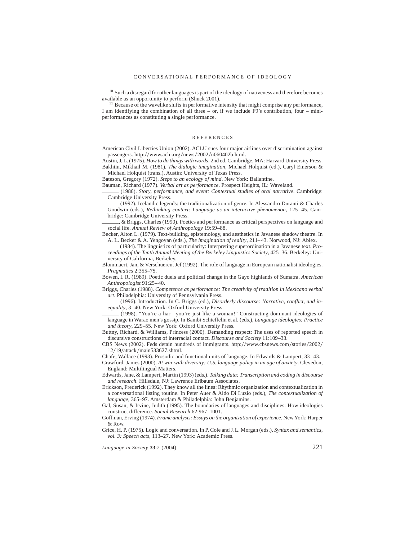#### CONVERSATIONAL PERFORMANCE OF IDEOLOGY

<sup>10</sup> Such a disregard for other languages is part of the ideology of nativeness and therefore becomes available as an opportunity to perform (Shuck 2001).<br><sup>11</sup> Because of the wavelike shifts in performative intensity that might comprise any performance,

I am identifying the combination of all three – or, if we include F9's contribution, four – miniperformances as constituting a single performance.

#### REFERENCES

American Civil Liberties Union (2002). ACLU sues four major airlines over discrimination against passengers. http://www.aclu.org/news/2002/n060402b.html.

Austin, J. L. (1975). *How to do things with words*. 2nd ed. Cambridge, MA: Harvard University Press. Bakhtin, Mikhail M. (1981). *The dialogic imagination*, Michael Holquist (ed.), Caryl Emerson &

Michael Holquist (trans.). Austin: University of Texas Press.

Bateson, Gregory (1972). *Steps to an ecology of mind*. New York: Ballantine.

Bauman, Richard (1977). *Verbal art as performance*. Prospect Heights, IL: Waveland.

\_(1986). *Story, performance, and event: Contextual studies of oral narrative*. Cambridge: Cambridge University Press. Bauman, Richard (1972). *Steps to an ecology of mind.* New York. Banantine.<br>
Bauman, Richard (1977). *Verbal art as performance*. Prospect Heights, IL: Waveland.<br>
Cambridge University Press.<br>
Cambridge University Press.<br>
(

bridge: Cambridge University Press. Canibridge University Fress.<br>
(1992). Icelandic legends: the traditionalization of genre. In Alessandro Duranti & Charles<br>
Goodwin (eds.), *Rethinking context: Language as an interactive phenomenon*, 125–45. Cam-<br>
bridge:

social life. *Annual Review of Anthropology* 19:59–88.

Becker, Alton L. (1979). Text-building, epistemology, and aesthetics in Javanese shadow theatre. In A. L. Becker & A. Yengoyan (eds.), *The imagination of reality*, 211–43. Norwood, NJ: Ablex. ocial life. *Annual Review of Anthropology* 19:59–88.<br>
Social life. *Annual Review of Anthropology* 19:59–88.<br>
Becker, Alton L. (1979). Text-building, epistemology, and aesthetics in Javanese shadow theatre. In<br>
A. L. Beck

*ceedings of the Tenth Annual Meeting of the Berkeley Linguistics Society*, 425–36. Berkeley: University of California, Berkeley.

Blommaert, Jan, & Verschueren, Jef (1992). The role of language in European nationalist ideologies. *Pragmatics* 2:355–75.

Bowen, J. R. (1989). Poetic duels and political change in the Gayo highlands of Sumatra. *American Anthropologist* 91:25–40.

Briggs, Charles (1988). *Competence as performance: The creativity of tradition in Mexicano verbal art*. Philadelphia: University of Pennsylvania Press. Bowen, J. K. (1989). Focul duess and pointed change in the Gayo inginants of Sunlatia. *American*<br>Anthropologist 91:25–40.<br>Briggs, Charles (1988). *Competence as performance: The creativity of tradition in Mexicano verbal* 

*equality*, 3– 40. New York: Oxford University Press. \_(1998). "You're a liar—you're just like a woman!" Constructing dominant ideologies of

language in Warao men's gossip. In Bambi Schieffelin et al. (eds.), *Language ideologies: Practice and theory*, 229–55. New York: Oxford University Press.

Buttny, Richard, & Williams, Princess (2000). Demanding respect: The uses of reported speech in discursive constructions of interracial contact. *Discourse and Society* 11:109–33.

CBS News (2002). Feds detain hundreds of immigrants. http://www.cbsnews.com/stories/2002/ 12/19/attack/main533627.shtml.

Chafe, Wallace (1993). Prosodic and functional units of language. In Edwards & Lampert, 33– 43.

- Crawford, James (2000). *At war with diversity: U.S. language policy in an age of anxiety*. Clevedon, England: Multilingual Matters.
- Edwards, Jane, & Lampert, Martin (1993) (eds.). *Talking data: Transcription and coding in discourse and research*. Hillsdale, NJ: Lawrence Erlbaum Associates.
- Erickson, Frederick (1992). They know all the lines: Rhythmic organization and contextualization in a conversational listing routine. In Peter Auer & Aldo Di Luzio (eds.), *The contextualization of language*, 365–97. Amsterdam & Philadelphia: John Benjamins.
- Gal, Susan, & Irvine, Judith (1995). The boundaries of languages and disciplines: How ideologies construct difference. *Social Research* 62:967–1001.

Goffman, Erving (1974). *Frame analysis: Essays on the organization of experience*. New York: Harper & Row.

Grice, H. P. (1975). Logic and conversation. In P. Cole and J. L. Morgan (eds.), *Syntax and semantics, vol. 3: Speech acts*, 113–27. New York: Academic Press.

*Language in Society* **33**:2 (2004) 221